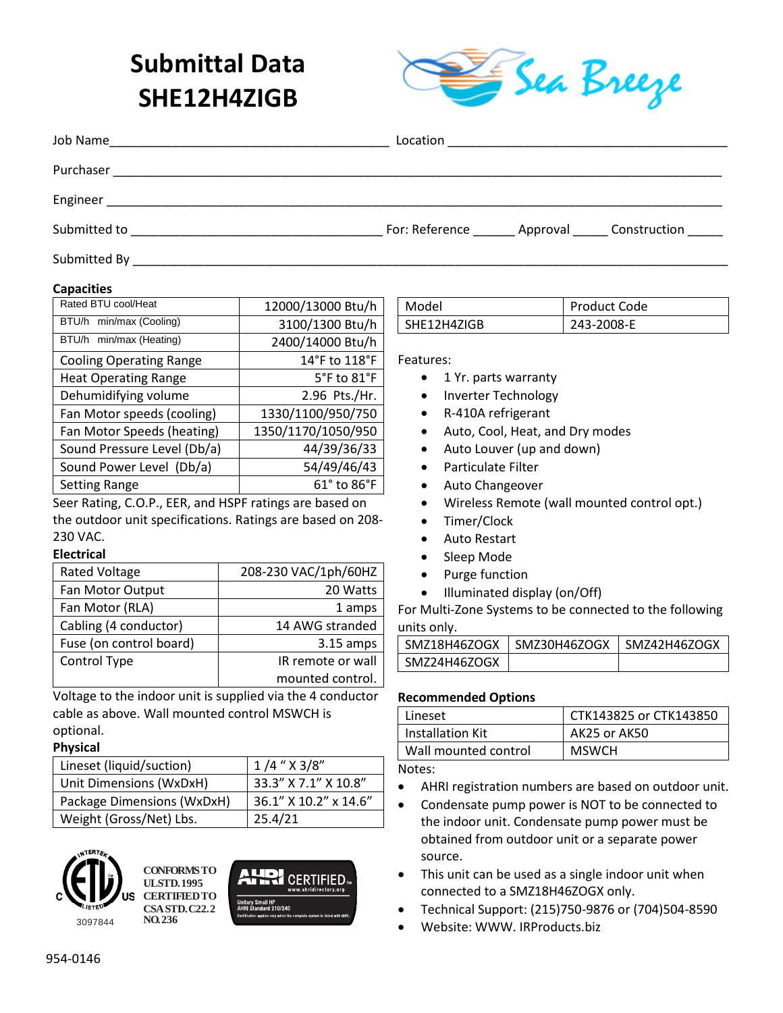# **Submittal Data SHE12H4ZIGB**



| Job Name                                                                                                                          | Location | the control of the control of the control of the control of the control of the control of |
|-----------------------------------------------------------------------------------------------------------------------------------|----------|-------------------------------------------------------------------------------------------|
| Purchaser                                                                                                                         |          |                                                                                           |
| Engineer<br><u> 1989 - Johann John Stoff, deutscher Stoffen und der Stoffen und der Stoffen und der Stoffen und der Stoffen u</u> |          |                                                                                           |
| Submitted to                                                                                                                      |          | For: Reference _______ Approval ______ Construction                                       |
| Submitted By                                                                                                                      |          |                                                                                           |

#### **Capacities**

| Rated BTU cool/Heat            | 12000/13000 Btu/h               |  |
|--------------------------------|---------------------------------|--|
| BTU/h min/max (Cooling)        | 3100/1300 Btu/h                 |  |
| BTU/h min/max (Heating)        | 2400/14000 Btu/h                |  |
| <b>Cooling Operating Range</b> | 14°F to 118°F                   |  |
| <b>Heat Operating Range</b>    | $5^{\circ}$ F to $81^{\circ}$ F |  |
| Dehumidifying volume           | 2.96 Pts./Hr.                   |  |
| Fan Motor speeds (cooling)     | 1330/1100/950/750               |  |
| Fan Motor Speeds (heating)     | 1350/1170/1050/950              |  |
| Sound Pressure Level (Db/a)    | 44/39/36/33                     |  |
| Sound Power Level (Db/a)       | 54/49/46/43                     |  |
| <b>Setting Range</b>           | 61° to 86°F                     |  |
| .                              |                                 |  |

Seer Rating, C.O.P., EER, and HSPF ratings are based on the outdoor unit specifications. Ratings are based on 208- 230 VAC.

#### **Electrical**

| <b>Rated Voltage</b>    | 208-230 VAC/1ph/60HZ |
|-------------------------|----------------------|
| Fan Motor Output        | 20 Watts             |
| Fan Motor (RLA)         | 1 amps               |
| Cabling (4 conductor)   | 14 AWG stranded      |
| Fuse (on control board) | $3.15$ amps          |
| Control Type            | IR remote or wall    |
|                         | mounted control.     |

Voltage to the indoor unit is supplied via the 4 conductor cable as above. Wall mounted control MSWCH is optional.

#### **Physical**

| Lineset (liquid/suction)   | $1/4$ " $\times$ 3/8" |
|----------------------------|-----------------------|
| Unit Dimensions (WxDxH)    | 33.3" X 7.1" X 10.8"  |
| Package Dimensions (WxDxH) | 36.1" X 10.2" x 14.6" |
| Weight (Gross/Net) Lbs.    | 25.4/21               |



**CONFORMS TO UL STD. 1995 CERTIFIED TO CSA STD. C22.2 NO. 236**



| l Model     | <b>Product Code</b> |
|-------------|---------------------|
| SHE12H4ZIGB | 243-2008-E          |

Features:

- 1 Yr. parts warranty
- Inverter Technology
- R-410A refrigerant
- Auto, Cool, Heat, and Dry modes
- Auto Louver (up and down)
- Particulate Filter
- Auto Changeover
- Wireless Remote (wall mounted control opt.)
- Timer/Clock
- Auto Restart
- Sleep Mode
- Purge function
- Illuminated display (on/Off)

For Multi-Zone Systems to be connected to the following units only.

| SMZ18H46ZOGX | SMZ30H46ZOGX | SMZ42H46ZOGX |
|--------------|--------------|--------------|
| SMZ24H46ZOGX |              |              |

#### **Recommended Options**

| Lineset              | CTK143825 or CTK143850 |
|----------------------|------------------------|
| Installation Kit     | AK25 or AK50           |
| Wall mounted control | <b>MSWCH</b>           |

Notes:

- AHRI registration numbers are based on outdoor unit.
- Condensate pump power is NOT to be connected to the indoor unit. Condensate pump power must be obtained from outdoor unit or a separate power source.
- This unit can be used as a single indoor unit when connected to a SMZ18H46ZOGX only.
- Technical Support: (215)750-9876 or (704)504-8590
- Website: WWW. IRProducts.biz